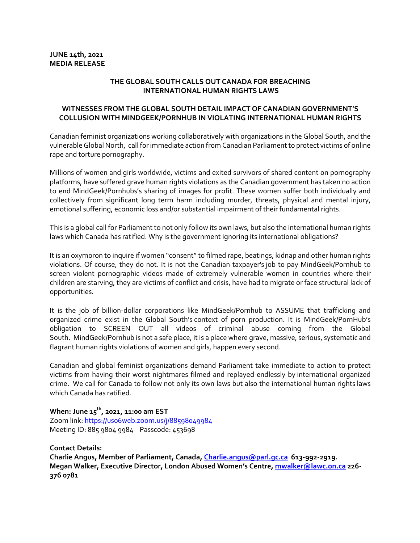## **THE GLOBAL SOUTH CALLS OUT CANADA FOR BREACHING INTERNATIONAL HUMAN RIGHTS LAWS**

## **WITNESSES FROM THE GLOBAL SOUTH DETAIL IMPACT OF CANADIAN GOVERNMENT'S COLLUSION WITH MINDGEEK/PORNHUB IN VIOLATING INTERNATIONAL HUMAN RIGHTS**

Canadian feminist organizations working collaboratively with organizations in the Global South, and the vulnerable Global North, call forimmediate action from Canadian Parliamentto protect victims of online rape and torture pornography.

Millions of women and girls worldwide, victims and exited survivors of shared content on pornography platforms, have suffered grave human rights violations as the Canadian government has taken no action to end MindGeek/Pornhubs's sharing of images for profit. These women suffer both individually and collectively from significant long term harm including murder, threats, physical and mental injury, emotional suffering, economic loss and/or substantial impairment of their fundamental rights.

This is a global call for Parliament to not only follow its own laws, but also the international human rights laws which Canada has ratified. Why is the government ignoring its international obligations?

It is an oxymoron to inquire if women "consent" to filmed rape, beatings, kidnap and other human rights violations. Of course, they do not. It is not the Canadian taxpayer's job to pay MindGeek/Pornhub to screen violent pornographic videos made of extremely vulnerable women in countries where their children are starving, they are victims of conflict and crisis, have had to migrate or face structural lack of opportunities.

It is the job of billion-dollar corporations like MindGeek/Pornhub to ASSUME that trafficking and organized crime exist in the Global South's context of porn production. It is MindGeek/PornHub's obligation to SCREEN OUT all videos of criminal abuse coming from the Global South. MindGeek/Pornhub is not a safe place, it is a place where grave, massive, serious, systematic and flagrant human rights violations of women and girls, happen every second.

Canadian and global feminist organizations demand Parliament take immediate to action to protect victims from having their worst nightmares filmed and replayed endlessly by international organized crime. We call for Canada to follow not only its own laws but also the international human rights laws which Canada has ratified.

## **When: June 15<sup>th</sup>, 2021, 11:00 am EST**

Zoom link: https://us06web.zoom.us/j/88598049984 Meeting ID: 885 9804 9984Passcode: 453698

**Contact Details:**

**Charlie Angus, Member of Parliament, Canada, Charlie.angus@parl.gc.ca 613-992-2919. Megan Walker, Executive Director, London Abused Women's Centre, mwalker@lawc.on.ca 226- 376 0781**